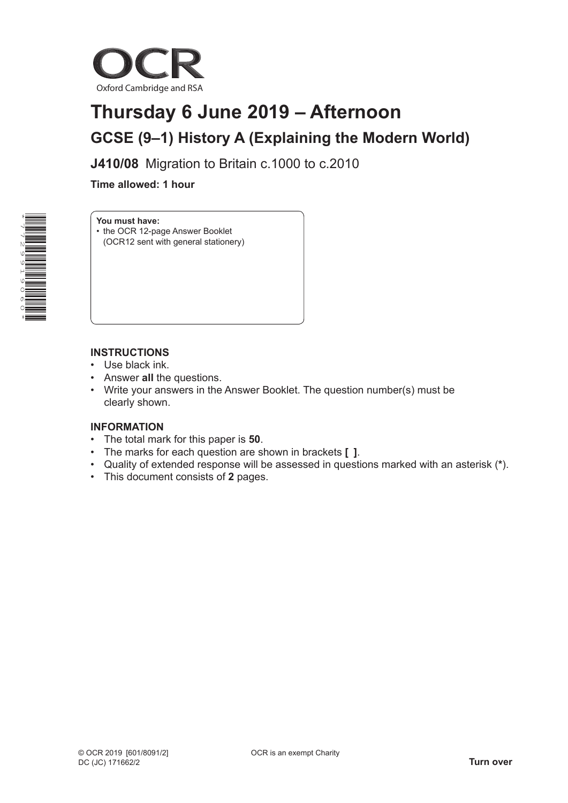

# **Thursday 6 June 2019 – Afternoon GCSE (9–1) History A (Explaining the Modern World)**

**J410/08** Migration to Britain c.1000 to c.2010

 **Time allowed: 1 hour**



## **You must have:**

• the OCR 12-page Answer Booklet (OCR12 sent with general stationery)

### **INSTRUCTIONS**

- Use black ink.
- Answer **all** the questions.
- Write your answers in the Answer Booklet. The question number(s) must be clearly shown.

#### **INFORMATION**

- The total mark for this paper is **50**.
- The marks for each question are shown in brackets **[ ]**.
- Quality of extended response will be assessed in questions marked with an asterisk (**\***).
- This document consists of **2** pages.